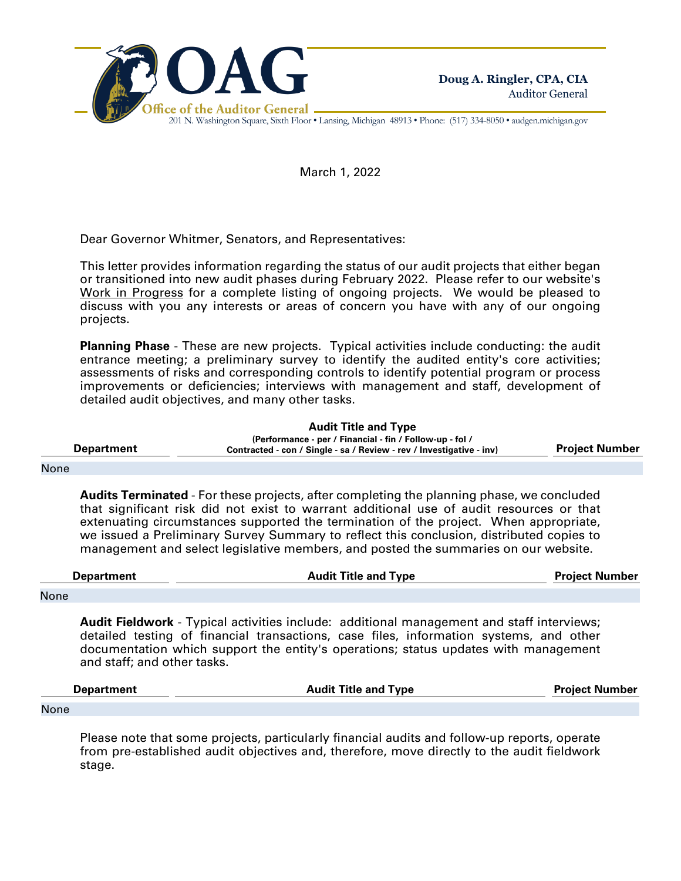

201 N. Washington Square, Sixth Floor • Lansing, Michigan 48913 • Phone: (517) 334-8050 • audgen.michigan.gov

March 1, 2022

Dear Governor Whitmer, Senators, and Representatives:

This letter provides information regarding the status of our audit projects that either began or transitioned into new audit phases during February 2022. Please refer to our website's Work in Progress for a complete listing of ongoing projects. We would be pleased to discuss with you any interests or areas of concern you have with any of our ongoing projects.

**Planning Phase** - These are new projects. Typical activities include conducting: the audit entrance meeting; a preliminary survey to identify the audited entity's core activities; assessments of risks and corresponding controls to identify potential program or process improvements or deficiencies; interviews with management and staff, development of detailed audit objectives, and many other tasks.

**Audit Title and Type**

**Department (Performance - per / Financial - fin / Follow-up - fol / Contracted - con / Single - sa / Review - rev / Investigative - inv) Project Number**

## None

**Audits Terminated** - For these projects, after completing the planning phase, we concluded that significant risk did not exist to warrant additional use of audit resources or that extenuating circumstances supported the termination of the project. When appropriate, we issued a Preliminary Survey Summary to reflect this conclusion, distributed copies to management and select legislative members, and posted the summaries on our website.

| <b>Department</b> | <b>Audit Title and Type</b> | <b>Project Number</b> |
|-------------------|-----------------------------|-----------------------|
| None              |                             |                       |

**Audit Fieldwork** - Typical activities include: additional management and staff interviews; detailed testing of financial transactions, case files, information systems, and other documentation which support the entity's operations; status updates with management and staff; and other tasks.

| <b>Department</b> | <b>Audit Title and Type</b><br><b>Project Number</b> |  |
|-------------------|------------------------------------------------------|--|
|                   |                                                      |  |
| None              |                                                      |  |

Please note that some projects, particularly financial audits and follow-up reports, operate from pre-established audit objectives and, therefore, move directly to the audit fieldwork stage.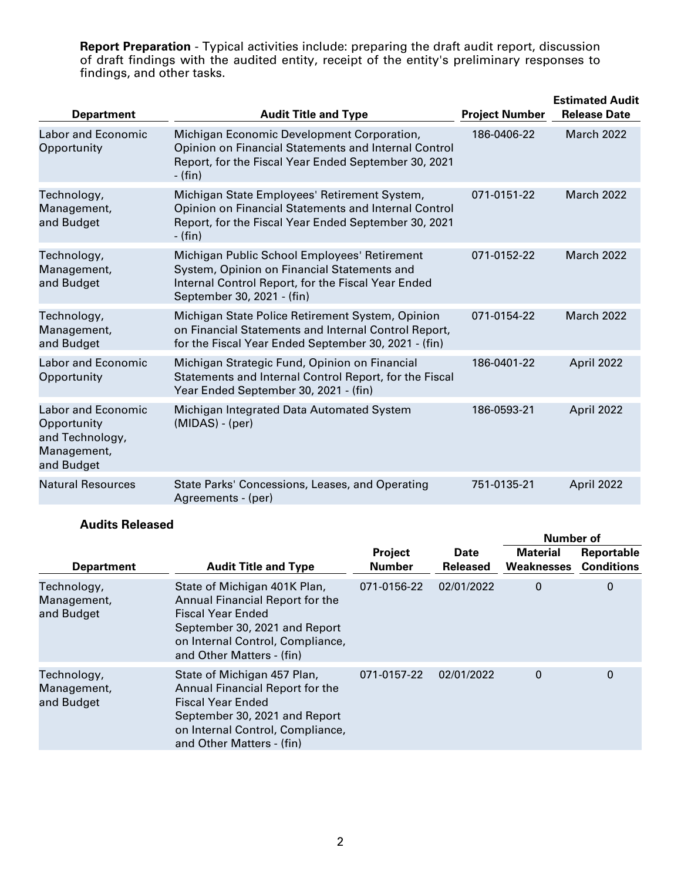**Report Preparation** - Typical activities include: preparing the draft audit report, discussion of draft findings with the audited entity, receipt of the entity's preliminary responses to findings, and other tasks.

| <b>Department</b>                                                                        | <b>Audit Title and Type</b>                                                                                                                                                     | <b>Project Number</b> | <b>Estimated Audit</b><br><b>Release Date</b> |
|------------------------------------------------------------------------------------------|---------------------------------------------------------------------------------------------------------------------------------------------------------------------------------|-----------------------|-----------------------------------------------|
| <b>Labor and Economic</b><br>Opportunity                                                 | Michigan Economic Development Corporation,<br>Opinion on Financial Statements and Internal Control<br>Report, for the Fiscal Year Ended September 30, 2021<br>- (fin)           | 186-0406-22           | March 2022                                    |
| Technology,<br>Management,<br>and Budget                                                 | Michigan State Employees' Retirement System,<br>Opinion on Financial Statements and Internal Control<br>Report, for the Fiscal Year Ended September 30, 2021<br>$-$ (fin)       | 071-0151-22           | <b>March 2022</b>                             |
| Technology,<br>Management,<br>and Budget                                                 | Michigan Public School Employees' Retirement<br>System, Opinion on Financial Statements and<br>Internal Control Report, for the Fiscal Year Ended<br>September 30, 2021 - (fin) | 071-0152-22           | <b>March 2022</b>                             |
| Technology,<br>Management,<br>and Budget                                                 | Michigan State Police Retirement System, Opinion<br>on Financial Statements and Internal Control Report,<br>for the Fiscal Year Ended September 30, 2021 - (fin)                | 071-0154-22           | <b>March 2022</b>                             |
| <b>Labor and Economic</b><br>Opportunity                                                 | Michigan Strategic Fund, Opinion on Financial<br>Statements and Internal Control Report, for the Fiscal<br>Year Ended September 30, 2021 - (fin)                                | 186-0401-22           | April 2022                                    |
| <b>Labor and Economic</b><br>Opportunity<br>and Technology,<br>Management,<br>and Budget | Michigan Integrated Data Automated System<br>$(MIDAS) - (per)$                                                                                                                  | 186-0593-21           | April 2022                                    |
| <b>Natural Resources</b>                                                                 | State Parks' Concessions, Leases, and Operating<br>Agreements - (per)                                                                                                           | 751-0135-21           | April 2022                                    |

## **Audits Released**

| Айчиз пеказеч                            |                                                                                                                                                                                               |                                 |                         | Number of                     |                                 |
|------------------------------------------|-----------------------------------------------------------------------------------------------------------------------------------------------------------------------------------------------|---------------------------------|-------------------------|-------------------------------|---------------------------------|
| <b>Department</b>                        | <b>Audit Title and Type</b>                                                                                                                                                                   | <b>Project</b><br><b>Number</b> | Date<br><b>Released</b> | <b>Material</b><br>Weaknesses | Reportable<br><b>Conditions</b> |
| Technology,<br>Management,<br>and Budget | State of Michigan 401K Plan,<br>Annual Financial Report for the<br><b>Fiscal Year Ended</b><br>September 30, 2021 and Report<br>on Internal Control, Compliance,<br>and Other Matters - (fin) | 071-0156-22                     | 02/01/2022              | $\mathbf 0$                   | 0                               |
| Technology,<br>Management,<br>and Budget | State of Michigan 457 Plan,<br>Annual Financial Report for the<br><b>Fiscal Year Ended</b><br>September 30, 2021 and Report<br>on Internal Control, Compliance,<br>and Other Matters - (fin)  | 071-0157-22                     | 02/01/2022              | 0                             | 0                               |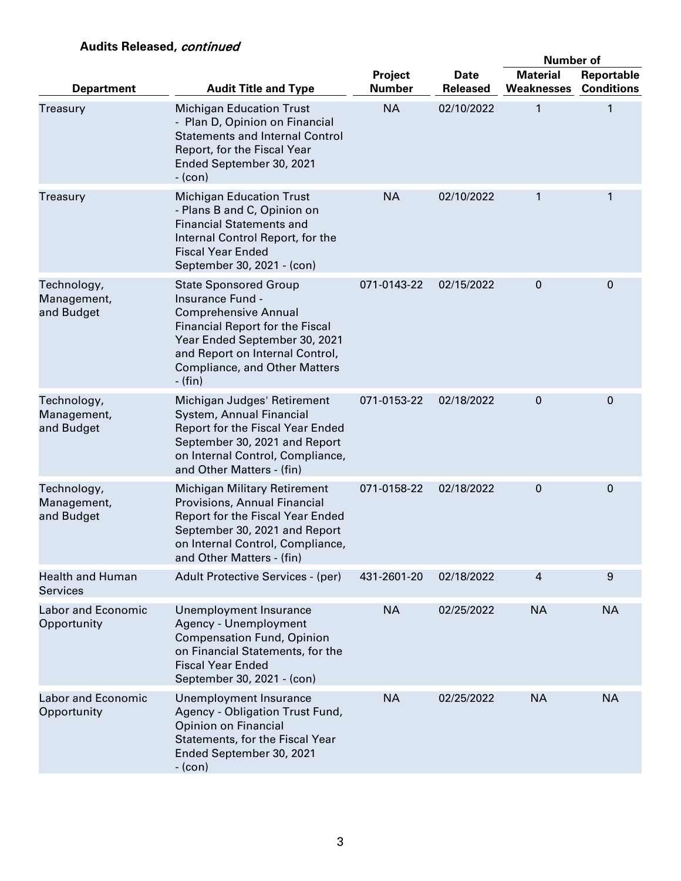## **Audits Released,** continued

|                                            |                                                                                                                                                                                                                                                    |                          |                                | <b>Number of</b>                     |                                 |
|--------------------------------------------|----------------------------------------------------------------------------------------------------------------------------------------------------------------------------------------------------------------------------------------------------|--------------------------|--------------------------------|--------------------------------------|---------------------------------|
| <b>Department</b>                          | <b>Audit Title and Type</b>                                                                                                                                                                                                                        | Project<br><b>Number</b> | <b>Date</b><br><b>Released</b> | <b>Material</b><br><b>Weaknesses</b> | Reportable<br><b>Conditions</b> |
| Treasury                                   | <b>Michigan Education Trust</b><br>- Plan D, Opinion on Financial<br><b>Statements and Internal Control</b><br>Report, for the Fiscal Year<br>Ended September 30, 2021<br>$-(con)$                                                                 | <b>NA</b>                | 02/10/2022                     | 1                                    | 1                               |
| Treasury                                   | <b>Michigan Education Trust</b><br>- Plans B and C, Opinion on<br><b>Financial Statements and</b><br>Internal Control Report, for the<br><b>Fiscal Year Ended</b><br>September 30, 2021 - (con)                                                    | <b>NA</b>                | 02/10/2022                     | 1                                    | 1                               |
| Technology,<br>Management,<br>and Budget   | <b>State Sponsored Group</b><br>Insurance Fund -<br><b>Comprehensive Annual</b><br><b>Financial Report for the Fiscal</b><br>Year Ended September 30, 2021<br>and Report on Internal Control,<br><b>Compliance, and Other Matters</b><br>$-$ (fin) | 071-0143-22              | 02/15/2022                     | $\mathbf 0$                          | 0                               |
| Technology,<br>Management,<br>and Budget   | Michigan Judges' Retirement<br>System, Annual Financial<br>Report for the Fiscal Year Ended<br>September 30, 2021 and Report<br>on Internal Control, Compliance,<br>and Other Matters - (fin)                                                      | 071-0153-22              | 02/18/2022                     | 0                                    | $\mathbf 0$                     |
| Technology,<br>Management,<br>and Budget   | <b>Michigan Military Retirement</b><br>Provisions, Annual Financial<br>Report for the Fiscal Year Ended<br>September 30, 2021 and Report<br>on Internal Control, Compliance,<br>and Other Matters - (fin)                                          | 071-0158-22              | 02/18/2022                     | 0                                    | $\mathbf 0$                     |
| <b>Health and Human</b><br><b>Services</b> | Adult Protective Services - (per)                                                                                                                                                                                                                  | 431-2601-20              | 02/18/2022                     | $\overline{4}$                       | 9                               |
| <b>Labor and Economic</b><br>Opportunity   | Unemployment Insurance<br>Agency - Unemployment<br><b>Compensation Fund, Opinion</b><br>on Financial Statements, for the<br><b>Fiscal Year Ended</b><br>September 30, 2021 - (con)                                                                 | <b>NA</b>                | 02/25/2022                     | <b>NA</b>                            | <b>NA</b>                       |
| Labor and Economic<br>Opportunity          | Unemployment Insurance<br>Agency - Obligation Trust Fund,<br><b>Opinion on Financial</b><br>Statements, for the Fiscal Year<br>Ended September 30, 2021<br>$-(con)$                                                                                | <b>NA</b>                | 02/25/2022                     | <b>NA</b>                            | <b>NA</b>                       |